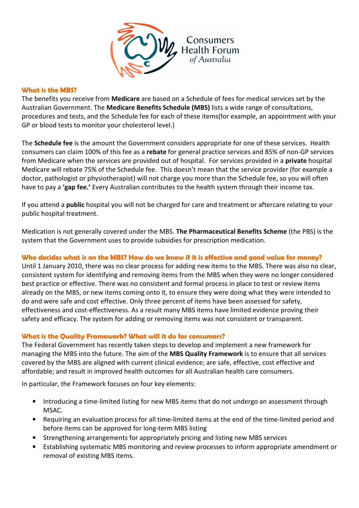

## What is the MBS?

The benefits you receive from Medicare are based on a Schedule of fees for medical services set by the Australian Government. The Medicare Benefits Schedule (MBS) lists a wide range of consultations, procedures and tests, and the Schedule fee for each of these items(for example, an appointment with your GP or blood tests to monitor your cholesterol level.)

The Schedule fee is the amount the Government considers appropriate for one of these services. Health consumers can claim 100% of this fee as a rebate for general practice services and 85% of non-GP services from Medicare when the services are provided out of hospital. For services provided in a private hospital Medicare will rebate 75% of the Schedule fee. This doesn't mean that the service provider (for example a doctor, pathologist or physiotherapist) will not charge you more than the Schedule fee, so you will often have to pay a 'gap fee.' Every Australian contributes to the health system through their income tax.

If you attend a **public** hospital you will not be charged for care and treatment or aftercare relating to your public hospital treatment.

Medication is not generally covered under the MBS. The Pharmaceutical Benefits Scheme (the PBS) is the system that the Government uses to provide subsidies for prescription medication.

# Who decides what is on the MBS? How do we know if it is effective and good value for money?

Until 1 January 2010, there was no clear process for adding new items to the MBS. There was also no clear, consistent system for identifying and removing items from the MBS when they were no longer considered best practice or effective. There was no consistent and formal process in place to test or review items already on the MBS, or new items coming onto it, to ensure they were doing what they were intended to do and were safe and cost effective. Only three percent of items have been assessed for safety, effectiveness and cost-effectiveness. As a result many MBS items have limited evidence proving their safety and efficacy. The system for adding or removing items was not consistent or transparent.

### What is the Quality Framework? What will it do for consumers?

The Federal Government has recently taken steps to develop and implement a new framework for managing the MBS into the future. The aim of the MBS Quality Framework is to ensure that all services covered by the MBS are aligned with current clinical evidence; are safe, effective, cost effective and affordable; and result in improved health outcomes for all Australian health care consumers.

In particular, the Framework focuses on four key elements:

- Introducing a time-limited listing for new MBS items that do not undergo an assessment through MSAC.
- Requiring an evaluation process for all time-limited items at the end of the time-limited period and before items can be approved for long-term MBS listing
- Strengthening arrangements for appropriately pricing and listing new MBS services
- Establishing systematic MBS monitoring and review processes to inform appropriate amendment or removal of existing MBS items.